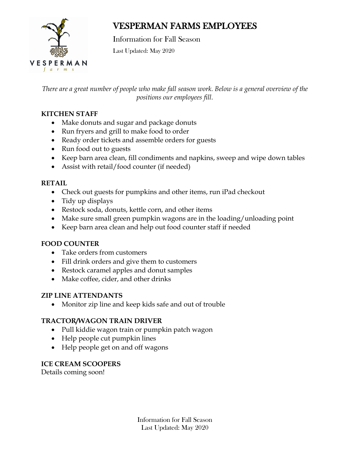

# VESPERMAN FARMS EMPLOYEES

Information for Fall Season Last Updated: May 2020

*There are a great number of people who make fall season work. Below is a general overview of the positions our employees fill.*

# **KITCHEN STAFF**

- Make donuts and sugar and package donuts
- Run fryers and grill to make food to order
- Ready order tickets and assemble orders for guests
- Run food out to guests
- Keep barn area clean, fill condiments and napkins, sweep and wipe down tables
- Assist with retail/food counter (if needed)

# **RETAIL**

- Check out guests for pumpkins and other items, run iPad checkout
- Tidy up displays
- Restock soda, donuts, kettle corn, and other items
- Make sure small green pumpkin wagons are in the loading/unloading point
- Keep barn area clean and help out food counter staff if needed

# **FOOD COUNTER**

- Take orders from customers
- Fill drink orders and give them to customers
- Restock caramel apples and donut samples
- Make coffee, cider, and other drinks

# **ZIP LINE ATTENDANTS**

• Monitor zip line and keep kids safe and out of trouble

# **TRACTOR/WAGON TRAIN DRIVER**

- Pull kiddie wagon train or pumpkin patch wagon
- Help people cut pumpkin lines
- Help people get on and off wagons

# **ICE CREAM SCOOPERS**

Details coming soon!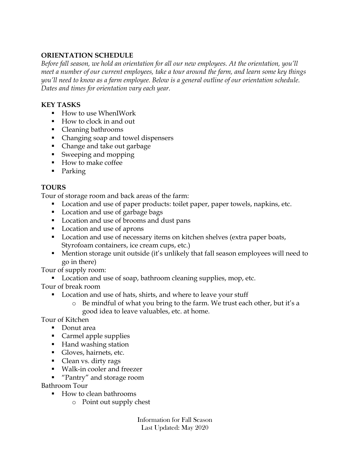#### **ORIENTATION SCHEDULE**

*Before fall season, we hold an orientation for all our new employees. At the orientation, you'll meet a number of our current employees, take a tour around the farm, and learn some key things you'll need to know as a farm employee. Below is a general outline of our orientation schedule. Dates and times for orientation vary each year.* 

#### **KEY TASKS**

- How to use WhenIWork
- How to clock in and out
- Cleaning bathrooms
- Changing soap and towel dispensers
- Change and take out garbage
- § Sweeping and mopping
- How to make coffee
- Parking

# **TOURS**

Tour of storage room and back areas of the farm:

- Location and use of paper products: toilet paper, paper towels, napkins, etc.
- Location and use of garbage bags
- Location and use of brooms and dust pans
- Location and use of aprons
- Location and use of necessary items on kitchen shelves (extra paper boats, Styrofoam containers, ice cream cups, etc.)
- Mention storage unit outside (it's unlikely that fall season employees will need to go in there)

Tour of supply room:

■ Location and use of soap, bathroom cleaning supplies, mop, etc.

Tour of break room

- Location and use of hats, shirts, and where to leave your stuff
	- o Be mindful of what you bring to the farm. We trust each other, but it's a good idea to leave valuables, etc. at home.

Tour of Kitchen

- Donut area
- Carmel apple supplies
- Hand washing station
- Gloves, hairnets, etc.
- Clean vs. dirty rags
- Walk-in cooler and freezer
- "Pantry" and storage room

Bathroom Tour

- How to clean bathrooms
	- o Point out supply chest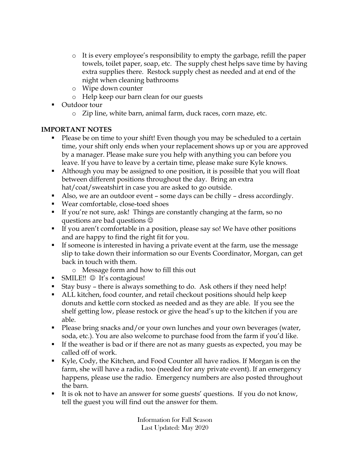- o It is every employee's responsibility to empty the garbage, refill the paper towels, toilet paper, soap, etc. The supply chest helps save time by having extra supplies there. Restock supply chest as needed and at end of the night when cleaning bathrooms
- o Wipe down counter
- o Help keep our barn clean for our guests
- Outdoor tour
	- o Zip line, white barn, animal farm, duck races, corn maze, etc.

#### **IMPORTANT NOTES**

- Please be on time to your shift! Even though you may be scheduled to a certain time, your shift only ends when your replacement shows up or you are approved by a manager. Please make sure you help with anything you can before you leave. If you have to leave by a certain time, please make sure Kyle knows.
- Although you may be assigned to one position, it is possible that you will float between different positions throughout the day. Bring an extra hat/coat/sweatshirt in case you are asked to go outside.
- Also, we are an outdoor event some days can be chilly dress accordingly.
- Wear comfortable, close-toed shoes
- If you're not sure, ask! Things are constantly changing at the farm, so no questions are bad questions  $\odot$
- If you aren't comfortable in a position, please say so! We have other positions and are happy to find the right fit for you.
- If someone is interested in having a private event at the farm, use the message slip to take down their information so our Events Coordinator, Morgan, can get back in touch with them.
	- o Message form and how to fill this out
- SMILE!!  $\odot$  It's contagious!
- Stay busy there is always something to do. Ask others if they need help!
- ALL kitchen, food counter, and retail checkout positions should help keep donuts and kettle corn stocked as needed and as they are able. If you see the shelf getting low, please restock or give the head's up to the kitchen if you are able.
- Please bring snacks and/or your own lunches and your own beverages (water, soda, etc.). You are also welcome to purchase food from the farm if you'd like.
- § If the weather is bad or if there are not as many guests as expected, you may be called off of work.
- Kyle, Cody, the Kitchen, and Food Counter all have radios. If Morgan is on the farm, she will have a radio, too (needed for any private event). If an emergency happens, please use the radio. Emergency numbers are also posted throughout the barn.
- It is ok not to have an answer for some guests' questions. If you do not know, tell the guest you will find out the answer for them.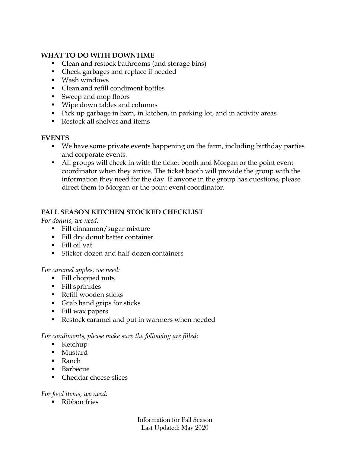#### **WHAT TO DO WITH DOWNTIME**

- Clean and restock bathrooms (and storage bins)
- Check garbages and replace if needed
- § Wash windows
- Clean and refill condiment bottles
- Sweep and mop floors
- § Wipe down tables and columns
- Pick up garbage in barn, in kitchen, in parking lot, and in activity areas
- Restock all shelves and items

#### **EVENTS**

- We have some private events happening on the farm, including birthday parties and corporate events.
- All groups will check in with the ticket booth and Morgan or the point event coordinator when they arrive. The ticket booth will provide the group with the information they need for the day. If anyone in the group has questions, please direct them to Morgan or the point event coordinator.

# **FALL SEASON KITCHEN STOCKED CHECKLIST**

*For donuts, we need:*

- Fill cinnamon/sugar mixture
- Fill dry donut batter container
- § Fill oil vat
- Sticker dozen and half-dozen containers

#### *For caramel apples, we need:*

- Fill chopped nuts
- § Fill sprinkles
- Refill wooden sticks
- Grab hand grips for sticks
- Fill wax papers
- Restock caramel and put in warmers when needed

#### *For condiments, please make sure the following are filled:*

- Ketchup
- Mustard
- Ranch
- Barbecue
- Cheddar cheese slices

#### *For food items, we need:*

■ Ribbon fries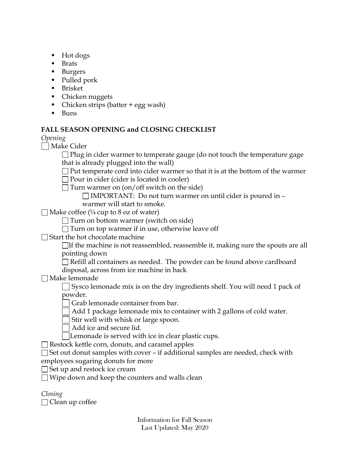- Hot dogs
- Brats
- Burgers
- Pulled pork
- Brisket
- Chicken nuggets
- Chicken strips (batter + egg wash)
- § Buns

# **FALL SEASON OPENING and CLOSING CHECKLIST**

*Opening*

| | Make Cider

 $\Box$  Plug in cider warmer to temperate gauge (do not touch the temperature gage that is already plugged into the wall)

 $\Box$  Put temperate cord into cider warmer so that it is at the bottom of the warmer

 $\Box$  Pour in cider (cider is located in cooler)

 $\Box$  Turn warmer on (on/off switch on the side)

 $\Box$  IMPORTANT: Do not turn warmer on until cider is poured in  $\Box$ warmer will start to smoke.

 $\Box$  Make coffee (¼ cup to 8 oz of water)

 $\Box$  Turn on bottom warmer (switch on side)

 $\Box$  Turn on top warmer if in use, otherwise leave off

 $\Box$  Start the hot chocolate machine

 $\Box$  If the machine is not reassembled, reassemble it, making sure the spouts are all pointing down

 $\Box$  Refill all containers as needed. The powder can be found above cardboard disposal, across from ice machine in back

Make lemonade

Sysco lemonade mix is on the dry ingredients shelf. You will need 1 pack of powder.

Grab lemonade container from bar.

Add 1 package lemonade mix to container with 2 gallons of cold water.

Stir well with whisk or large spoon.

Add ice and secure lid.

Lemonade is served with ice in clear plastic cups.

 $\Box$  Restock kettle corn, donuts, and caramel apples

 $\Box$  Set out donut samples with cover – if additional samples are needed, check with employees sugaring donuts for more

 $\Box$  Set up and restock ice cream

 $\Box$  Wipe down and keep the counters and walls clean

| Closing |                        |
|---------|------------------------|
|         | $\Box$ Clean up coffee |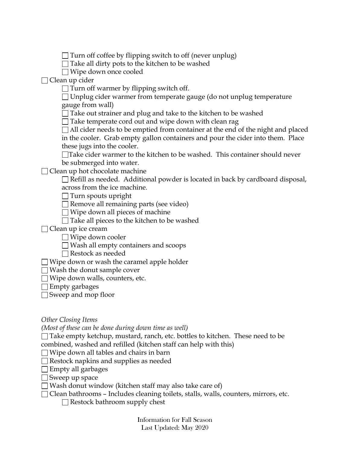$\Box$  Turn off coffee by flipping switch to off (never unplug)

 $\Box$  Take all dirty pots to the kitchen to be washed

Wipe down once cooled

 $\Box$  Clean up cider

 $\Box$  Turn off warmer by flipping switch off.

 $\Box$  Unplug cider warmer from temperate gauge (do not unplug temperature gauge from wall)

 $\Box$  Take out strainer and plug and take to the kitchen to be washed

 $\Box$  Take temperate cord out and wipe down with clean rag

 $\Box$  All cider needs to be emptied from container at the end of the night and placed in the cooler. Grab empty gallon containers and pour the cider into them. Place these jugs into the cooler.

Take cider warmer to the kitchen to be washed. This container should never be submerged into water.

 $\Box$  Clean up hot chocolate machine

 $\Box$  Refill as needed. Additional powder is located in back by cardboard disposal, across from the ice machine.

 $\Box$  Turn spouts upright

 $\Box$  Remove all remaining parts (see video)

 $\Box$  Wipe down all pieces of machine

 $\Box$  Take all pieces to the kitchen to be washed

□ Clean up ice cream

Wipe down cooler

 $\Box$  Wash all empty containers and scoops

Restock as needed

 $\Box$  Wipe down or wash the caramel apple holder

 $\Box$  Wash the donut sample cover

Wipe down walls, counters, etc.

 $\Box$  Empty garbages

Sweep and mop floor

*Other Closing Items*

*(Most of these can be done during down time as well)*

 $\Box$  Take empty ketchup, mustard, ranch, etc. bottles to kitchen. These need to be combined, washed and refilled (kitchen staff can help with this)

 $\Box$  Wipe down all tables and chairs in barn

Restock napkins and supplies as needed

 $\Box$  Empty all garbages

 $\Box$  Sweep up space

 $\Box$  Wash donut window (kitchen staff may also take care of)

□ Clean bathrooms - Includes cleaning toilets, stalls, walls, counters, mirrors, etc.

 $\Box$  Restock bathroom supply chest